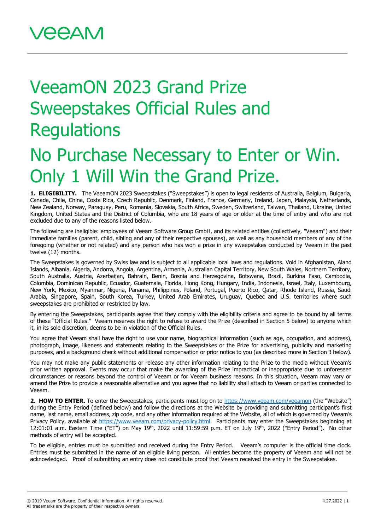## VeeamON 2023 Grand Prize Sweepstakes Official Rules and **Regulations**

## No Purchase Necessary to Enter or Win. Only 1 Will Win the Grand Prize.

**1. ELIGIBILITY.** The VeeamON 2023 Sweepstakes ("Sweepstakes") is open to legal residents of Australia, Belgium, Bulgaria, Canada, Chile, China, Costa Rica, Czech Republic, Denmark, Finland, France, Germany, Ireland, Japan, Malaysia, Netherlands, New Zealand, Norway, Paraguay, Peru, Romania, Slovakia, South Africa, Sweden, Switzerland, Taiwan, Thailand, Ukraine, United Kingdom, United States and the District of Columbia, who are 18 years of age or older at the time of entry and who are not excluded due to any of the reasons listed below.

The following are ineligible: employees of Veeam Software Group GmbH, and its related entities (collectively, "Veeam") and their immediate families (parent, child, sibling and any of their respective spouses), as well as any household members of any of the foregoing (whether or not related) and any person who has won a prize in any sweepstakes conducted by Veeam in the past twelve (12) months.

The Sweepstakes is governed by Swiss law and is subject to all applicable local laws and regulations. Void in Afghanistan, Aland Islands, Albania, Algeria, Andorra, Angola, Argentina, Armenia, Australian Capital Territory, New South Wales, Northern Territory, South Australia, Austria, Azerbaijan, Bahrain, Benin, Bosnia and Herzegovina, Botswana, Brazil, Burkina Faso, Cambodia, Colombia, Dominican Republic, Ecuador, Guatemala, Florida, Hong Kong, Hungary, India, Indonesia, Israel, Italy, Luxembourg, New York, Mexico, Myanmar, Nigeria, Panama, Philippines, Poland, Portugal, Puerto Rico, Qatar, Rhode Island, Russia, Saudi Arabia, Singapore, Spain, South Korea, Turkey, United Arab Emirates, Uruguay, Quebec and U.S. territories where such sweepstakes are prohibited or restricted by law.

By entering the Sweepstakes, participants agree that they comply with the eligibility criteria and agree to be bound by all terms of these "Official Rules." Veeam reserves the right to refuse to award the Prize (described in Section 5 below) to anyone which it, in its sole discretion, deems to be in violation of the Official Rules.

You agree that Veeam shall have the right to use your name, biographical information (such as age, occupation, and address), photograph, image, likeness and statements relating to the Sweepstakes or the Prize for advertising, publicity and marketing purposes, and a background check without additional compensation or prior notice to you (as described more in Section 3 below).

You may not make any public statements or release any other information relating to the Prize to the media without Veeam's prior written approval. Events may occur that make the awarding of the Prize impractical or inappropriate due to unforeseen circumstances or reasons beyond the control of Veeam or for Veeam business reasons. In this situation, Veeam may vary or amend the Prize to provide a reasonable alternative and you agree that no liability shall attach to Veeam or parties connected to Veeam.

**2. HOW TO ENTER.** To enter the Sweepstakes, participants must log on to<https://www.veeam.com/veeamon> (the "Website") during the Entry Period (defined below) and follow the directions at the Website by providing and submitting participant's first name, last name, email address, zip code, and any other information required at the Website, all of which is governed by Veeam's Privacy Policy, available at [https://www.veeam.com/privacy-policy.html.](https://www.veeam.com/privacy-policy.html) Participants may enter the Sweepstakes beginning at 12:01:01 a.m. Eastern Time ("ET") on May 19<sup>th</sup>, 2022 until 11:59:59 p.m. ET on July 19<sup>th</sup>, 2022 ("Entry Period"). No other methods of entry will be accepted.

To be eligible, entries must be submitted and received during the Entry Period. Veeam's computer is the official time clock. Entries must be submitted in the name of an eligible living person. All entries become the property of Veeam and will not be acknowledged. Proof of submitting an entry does not constitute proof that Veeam received the entry in the Sweepstakes.

<sup>© 2019</sup> Veeam Software. Confidential information. All rights reserved. All trademarks are the property of their respective owners.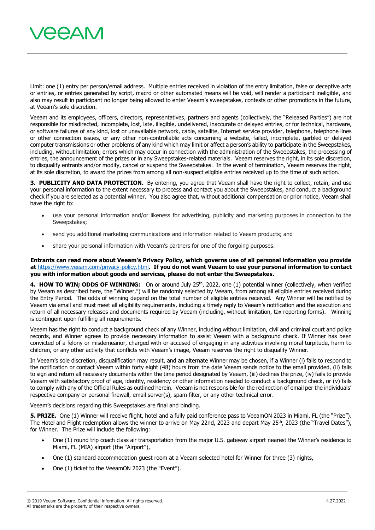

Limit: one (1) entry per person/email address. Multiple entries received in violation of the entry limitation, false or deceptive acts or entries, or entries generated by script, macro or other automated means will be void, will render a participant ineligible, and also may result in participant no longer being allowed to enter Veeam's sweepstakes, contests or other promotions in the future, at Veeam's sole discretion.

Veeam and its employees, officers, directors, representatives, partners and agents (collectively, the "Released Parties") are not responsible for misdirected, incomplete, lost, late, illegible, undelivered, inaccurate or delayed entries, or for technical, hardware, or software failures of any kind, lost or unavailable network, cable, satellite, Internet service provider, telephone, telephone lines or other connection issues, or any other non-controllable acts concerning a website, failed, incomplete, garbled or delayed computer transmissions or other problems of any kind which may limit or affect a person's ability to participate in the Sweepstakes, including, without limitation, errors which may occur in connection with the administration of the Sweepstakes, the processing of entries, the announcement of the prizes or in any Sweepstakes-related materials. Veeam reserves the right, in its sole discretion, to disqualify entrants and/or modify, cancel or suspend the Sweepstakes. In the event of termination, Veeam reserves the right, at its sole discretion, to award the prizes from among all non-suspect eligible entries received up to the time of such action.

**3. PUBLICITY AND DATA PROTECTION.** By entering, you agree that Veeam shall have the right to collect, retain, and use your personal information to the extent necessary to process and contact you about the Sweepstakes, and conduct a background check if you are selected as a potential winner. You also agree that, without additional compensation or prior notice, Veeam shall have the right to:

- use your personal information and/or likeness for advertising, publicity and marketing purposes in connection to the Sweepstakes;
- send you additional marketing communications and information related to Veeam products; and
- share your personal information with Veeam's partners for one of the forgoing purposes.

**Entrants can read more about Veeam's Privacy Policy, which governs use of all personal information you provide at** [https://www.veeam.com/privacy-policy.html.](https://www.veeam.com/privacy-policy.html) **If you do not want Veeam to use your personal information to contact you with information about goods and services, please do not enter the Sweepstakes.**

**4. HOW TO WIN; ODDS OF WINNING:** On or around July 25<sup>th</sup>, 2022, one (1) potential winner (collectively, when verified by Veeam as described here, the "Winner,") will be randomly selected by Veeam, from among all eligible entries received during the Entry Period. The odds of winning depend on the total number of eligible entries received. Any Winner will be notified by Veeam via email and must meet all eligibility requirements, including a timely reply to Veeam's notification and the execution and return of all necessary releases and documents required by Veeam (including, without limitation, tax reporting forms). Winning is contingent upon fulfilling all requirements.

Veeam has the right to conduct a background check of any Winner, including without limitation, civil and criminal court and police records, and Winner agrees to provide necessary information to assist Veeam with a background check. If Winner has been convicted of a felony or misdemeanor, charged with or accused of engaging in any activities involving moral turpitude, harm to children, or any other activity that conflicts with Veeam's image, Veeam reserves the right to disqualify Winner.

In Veeam's sole discretion, disqualification may result, and an alternate Winner may be chosen, if a Winner (i) fails to respond to the notification or contact Veeam within forty eight (48) hours from the date Veeam sends notice to the email provided, (ii) fails to sign and return all necessary documents within the time period designated by Veeam, (iii) declines the prize, (iv) fails to provide Veeam with satisfactory proof of age, identity, residency or other information needed to conduct a background check, or (v) fails to comply with any of the Official Rules as outlined herein. Veeam is not responsible for the redirection of email per the individuals' respective company or personal firewall, email server(s), spam filter, or any other technical error.

Veeam's decisions regarding this Sweepstakes are final and binding.

**5. PRIZE.** One (1) Winner will receive flight, hotel and a fully paid conference pass to VeeamON 2023 in Miami, FL (the "Prize"). The Hotel and Flight redemption allows the winner to arrive on May 22nd, 2023 and depart May 25<sup>th</sup>, 2023 (the "Travel Dates"), for Winner. The Prize will include the following:

- One (1) round trip coach class air transportation from the major U.S. gateway airport nearest the Winner's residence to Miami, FL (MIA) airport (the "Airport"),
- One (1) standard accommodation guest room at a Veeam selected hotel for Winner for three (3) nights,
- One (1) ticket to the VeeamON 2023 (the "Event").

<sup>© 2019</sup> Veeam Software. Confidential information. All rights reserved. All trademarks are the property of their respective owners.